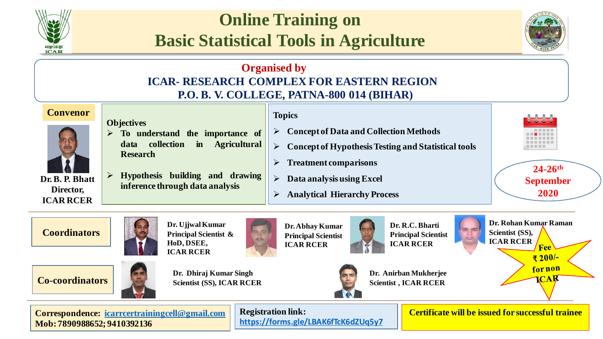

# **Online Training on Basic Statistical Tools in Agriculture**



## **Organised by ICAR- RESEARCH COMPLEX FOR EASTERN REGION P.O. B. V. COLLEGE, PATNA-800 014 (BIHAR)**



**24-26th September** 

### **Coordinators**



**Dr. Ujjwal Kumar Principal Scientist & HoD, DSEE, ICAR RCER**

**Dr.Abhay Kumar Principal Scientist ICAR RCER**







**Dr. Anirban Mukherjee Scientist , ICAR RCER**

**Dr. R.C. Bharti Principal Scientist ICAR RCER**



**2020**

**Dr. Rohan Kumar Raman Scientist (SS), ICAR RCER Fee** 

₹200/-

for non  $\overline{\mathbf{C}}$ A $\overline{\mathbf{R}}$ 

**Correspondence: [icarrcertrainingcell@gmail.com](mailto:icarrcertrainingcell@gmail.com) Mob: 7890988652; 9410392136**

**Registration link: <https://forms.gle/LBAK6fTcK6dZUq5y7>**  **Certificate will be issued for successful trainee**